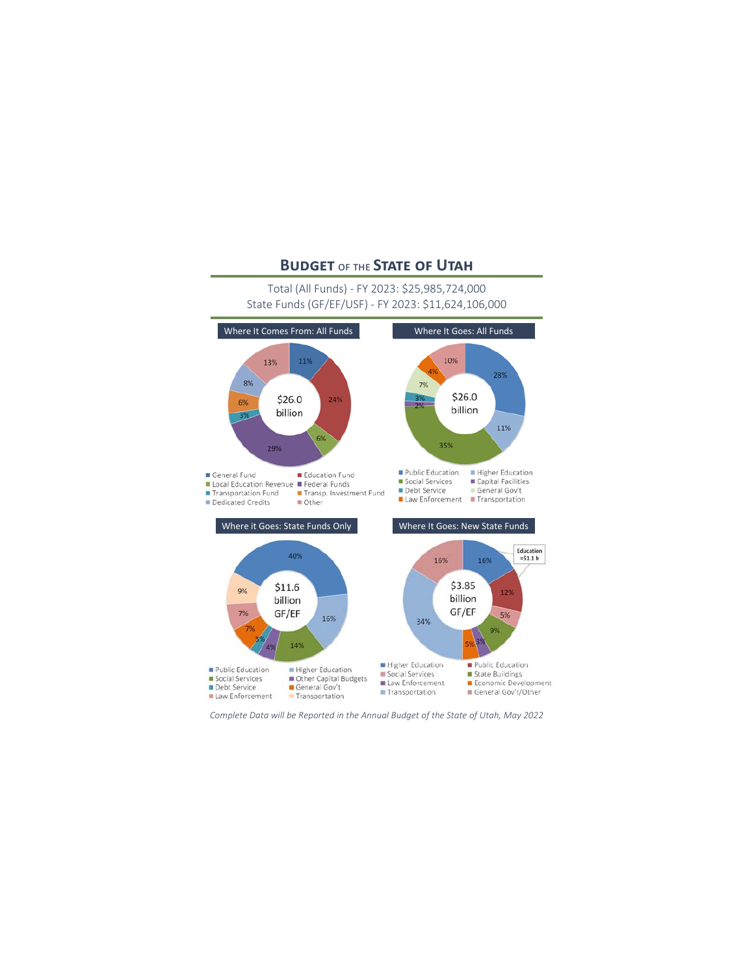# **BUDGET OF THE STATE OF UTAH**

# Total (All Funds) - FY 2023: \$25,985,724,000 State Funds (GF/EF/USF) - FY 2023: \$11.624.106.000



Complete Data will be Reported in the Annual Budget of the State of Utah, May 2022